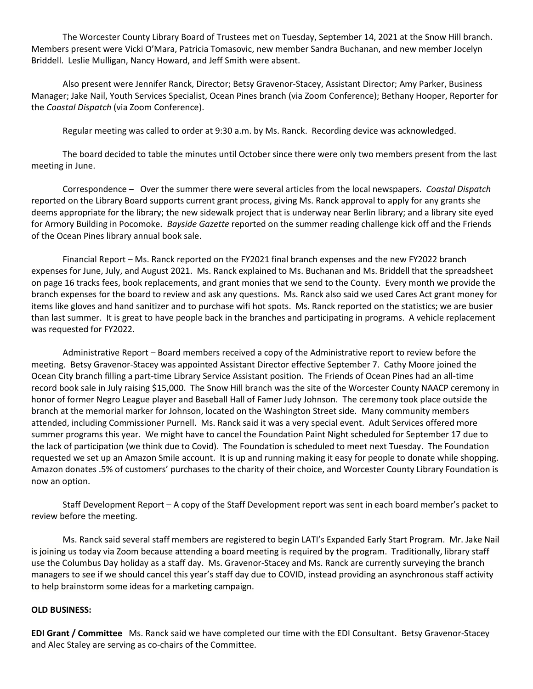The Worcester County Library Board of Trustees met on Tuesday, September 14, 2021 at the Snow Hill branch. Members present were Vicki O'Mara, Patricia Tomasovic, new member Sandra Buchanan, and new member Jocelyn Briddell. Leslie Mulligan, Nancy Howard, and Jeff Smith were absent.

Also present were Jennifer Ranck, Director; Betsy Gravenor-Stacey, Assistant Director; Amy Parker, Business Manager; Jake Nail, Youth Services Specialist, Ocean Pines branch (via Zoom Conference); Bethany Hooper, Reporter for the *Coastal Dispatch* (via Zoom Conference).

Regular meeting was called to order at 9:30 a.m. by Ms. Ranck. Recording device was acknowledged.

The board decided to table the minutes until October since there were only two members present from the last meeting in June.

Correspondence – Over the summer there were several articles from the local newspapers. *Coastal Dispatch*  reported on the Library Board supports current grant process, giving Ms. Ranck approval to apply for any grants she deems appropriate for the library; the new sidewalk project that is underway near Berlin library; and a library site eyed for Armory Building in Pocomoke. *Bayside Gazette* reported on the summer reading challenge kick off and the Friends of the Ocean Pines library annual book sale.

Financial Report – Ms. Ranck reported on the FY2021 final branch expenses and the new FY2022 branch expenses for June, July, and August 2021. Ms. Ranck explained to Ms. Buchanan and Ms. Briddell that the spreadsheet on page 16 tracks fees, book replacements, and grant monies that we send to the County. Every month we provide the branch expenses for the board to review and ask any questions. Ms. Ranck also said we used Cares Act grant money for items like gloves and hand sanitizer and to purchase wifi hot spots. Ms. Ranck reported on the statistics; we are busier than last summer. It is great to have people back in the branches and participating in programs. A vehicle replacement was requested for FY2022.

Administrative Report – Board members received a copy of the Administrative report to review before the meeting. Betsy Gravenor-Stacey was appointed Assistant Director effective September 7. Cathy Moore joined the Ocean City branch filling a part-time Library Service Assistant position. The Friends of Ocean Pines had an all-time record book sale in July raising \$15,000. The Snow Hill branch was the site of the Worcester County NAACP ceremony in honor of former Negro League player and Baseball Hall of Famer Judy Johnson. The ceremony took place outside the branch at the memorial marker for Johnson, located on the Washington Street side. Many community members attended, including Commissioner Purnell. Ms. Ranck said it was a very special event. Adult Services offered more summer programs this year. We might have to cancel the Foundation Paint Night scheduled for September 17 due to the lack of participation (we think due to Covid). The Foundation is scheduled to meet next Tuesday. The Foundation requested we set up an Amazon Smile account. It is up and running making it easy for people to donate while shopping. Amazon donates .5% of customers' purchases to the charity of their choice, and Worcester County Library Foundation is now an option.

Staff Development Report – A copy of the Staff Development report was sent in each board member's packet to review before the meeting.

Ms. Ranck said several staff members are registered to begin LATI's Expanded Early Start Program. Mr. Jake Nail is joining us today via Zoom because attending a board meeting is required by the program. Traditionally, library staff use the Columbus Day holiday as a staff day. Ms. Gravenor-Stacey and Ms. Ranck are currently surveying the branch managers to see if we should cancel this year's staff day due to COVID, instead providing an asynchronous staff activity to help brainstorm some ideas for a marketing campaign.

## **OLD BUSINESS:**

**EDI Grant / Committee** Ms. Ranck said we have completed our time with the EDI Consultant. Betsy Gravenor-Stacey and Alec Staley are serving as co-chairs of the Committee.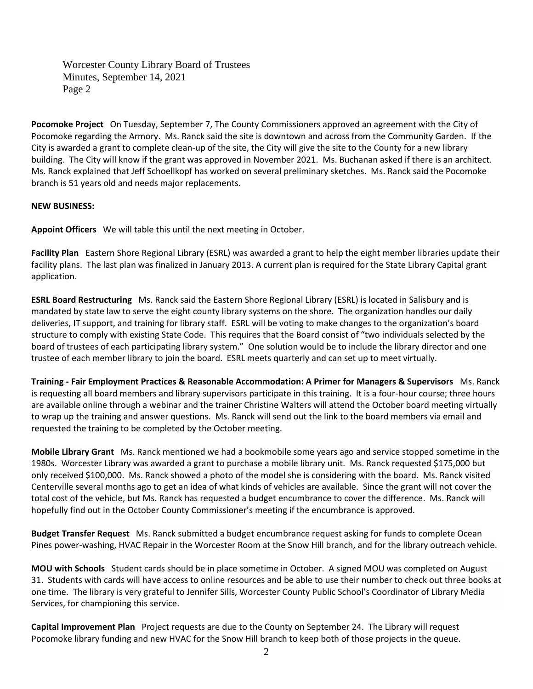Worcester County Library Board of Trustees Minutes, September 14, 2021 Page 2

**Pocomoke Project** On Tuesday, September 7, The County Commissioners approved an agreement with the City of Pocomoke regarding the Armory. Ms. Ranck said the site is downtown and across from the Community Garden. If the City is awarded a grant to complete clean-up of the site, the City will give the site to the County for a new library building. The City will know if the grant was approved in November 2021. Ms. Buchanan asked if there is an architect. Ms. Ranck explained that Jeff Schoellkopf has worked on several preliminary sketches. Ms. Ranck said the Pocomoke branch is 51 years old and needs major replacements.

## **NEW BUSINESS:**

**Appoint Officers** We will table this until the next meeting in October.

**Facility Plan** Eastern Shore Regional Library (ESRL) was awarded a grant to help the eight member libraries update their facility plans. The last plan was finalized in January 2013. A current plan is required for the State Library Capital grant application.

**ESRL Board Restructuring** Ms. Ranck said the Eastern Shore Regional Library (ESRL) is located in Salisbury and is mandated by state law to serve the eight county library systems on the shore. The organization handles our daily deliveries, IT support, and training for library staff. ESRL will be voting to make changes to the organization's board structure to comply with existing State Code. This requires that the Board consist of "two individuals selected by the board of trustees of each participating library system." One solution would be to include the library director and one trustee of each member library to join the board. ESRL meets quarterly and can set up to meet virtually.

**Training - Fair Employment Practices & Reasonable Accommodation: A Primer for Managers & Supervisors** Ms. Ranck is requesting all board members and library supervisors participate in this training. It is a four-hour course; three hours are available online through a webinar and the trainer Christine Walters will attend the October board meeting virtually to wrap up the training and answer questions. Ms. Ranck will send out the link to the board members via email and requested the training to be completed by the October meeting.

**Mobile Library Grant** Ms. Ranck mentioned we had a bookmobile some years ago and service stopped sometime in the 1980s. Worcester Library was awarded a grant to purchase a mobile library unit. Ms. Ranck requested \$175,000 but only received \$100,000. Ms. Ranck showed a photo of the model she is considering with the board. Ms. Ranck visited Centerville several months ago to get an idea of what kinds of vehicles are available. Since the grant will not cover the total cost of the vehicle, but Ms. Ranck has requested a budget encumbrance to cover the difference. Ms. Ranck will hopefully find out in the October County Commissioner's meeting if the encumbrance is approved.

**Budget Transfer Request** Ms. Ranck submitted a budget encumbrance request asking for funds to complete Ocean Pines power-washing, HVAC Repair in the Worcester Room at the Snow Hill branch, and for the library outreach vehicle.

**MOU with Schools** Student cards should be in place sometime in October. A signed MOU was completed on August 31. Students with cards will have access to online resources and be able to use their number to check out three books at one time. The library is very grateful to Jennifer Sills, Worcester County Public School's Coordinator of Library Media Services, for championing this service.

**Capital Improvement Plan** Project requests are due to the County on September 24. The Library will request Pocomoke library funding and new HVAC for the Snow Hill branch to keep both of those projects in the queue.